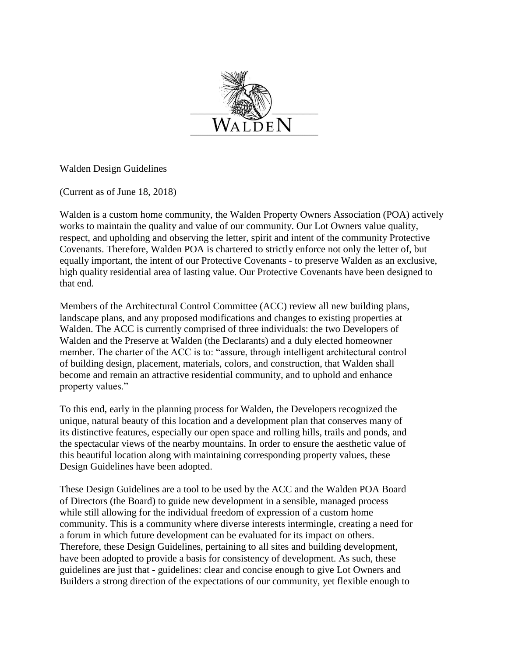

Walden Design Guidelines

(Current as of June 18, 2018)

Walden is a custom home community, the Walden Property Owners Association (POA) actively works to maintain the quality and value of our community. Our Lot Owners value quality, respect, and upholding and observing the letter, spirit and intent of the community Protective Covenants. Therefore, Walden POA is chartered to strictly enforce not only the letter of, but equally important, the intent of our Protective Covenants - to preserve Walden as an exclusive, high quality residential area of lasting value. Our Protective Covenants have been designed to that end.

Members of the Architectural Control Committee (ACC) review all new building plans, landscape plans, and any proposed modifications and changes to existing properties at Walden. The ACC is currently comprised of three individuals: the two Developers of Walden and the Preserve at Walden (the Declarants) and a duly elected homeowner member. The charter of the ACC is to: "assure, through intelligent architectural control of building design, placement, materials, colors, and construction, that Walden shall become and remain an attractive residential community, and to uphold and enhance property values."

To this end, early in the planning process for Walden, the Developers recognized the unique, natural beauty of this location and a development plan that conserves many of its distinctive features, especially our open space and rolling hills, trails and ponds, and the spectacular views of the nearby mountains. In order to ensure the aesthetic value of this beautiful location along with maintaining corresponding property values, these Design Guidelines have been adopted.

These Design Guidelines are a tool to be used by the ACC and the Walden POA Board of Directors (the Board) to guide new development in a sensible, managed process while still allowing for the individual freedom of expression of a custom home community. This is a community where diverse interests intermingle, creating a need for a forum in which future development can be evaluated for its impact on others. Therefore, these Design Guidelines, pertaining to all sites and building development, have been adopted to provide a basis for consistency of development. As such, these guidelines are just that - guidelines: clear and concise enough to give Lot Owners and Builders a strong direction of the expectations of our community, yet flexible enough to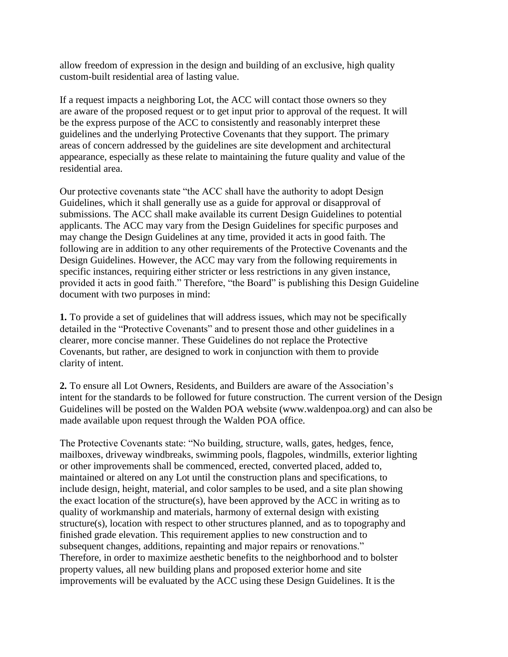allow freedom of expression in the design and building of an exclusive, high quality custom-built residential area of lasting value.

If a request impacts a neighboring Lot, the ACC will contact those owners so they are aware of the proposed request or to get input prior to approval of the request. It will be the express purpose of the ACC to consistently and reasonably interpret these guidelines and the underlying Protective Covenants that they support. The primary areas of concern addressed by the guidelines are site development and architectural appearance, especially as these relate to maintaining the future quality and value of the residential area.

Our protective covenants state "the ACC shall have the authority to adopt Design Guidelines, which it shall generally use as a guide for approval or disapproval of submissions. The ACC shall make available its current Design Guidelines to potential applicants. The ACC may vary from the Design Guidelines for specific purposes and may change the Design Guidelines at any time, provided it acts in good faith. The following are in addition to any other requirements of the Protective Covenants and the Design Guidelines. However, the ACC may vary from the following requirements in specific instances, requiring either stricter or less restrictions in any given instance, provided it acts in good faith." Therefore, "the Board" is publishing this Design Guideline document with two purposes in mind:

**1.** To provide a set of guidelines that will address issues, which may not be specifically detailed in the "Protective Covenants" and to present those and other guidelines in a clearer, more concise manner. These Guidelines do not replace the Protective Covenants, but rather, are designed to work in conjunction with them to provide clarity of intent.

**2.** To ensure all Lot Owners, Residents, and Builders are aware of the Association's intent for the standards to be followed for future construction. The current version of the Design Guidelines will be posted on the Walden POA website (www.waldenpoa.org) and can also be made available upon request through the Walden POA office.

The Protective Covenants state: "No building, structure, walls, gates, hedges, fence, mailboxes, driveway windbreaks, swimming pools, flagpoles, windmills, exterior lighting or other improvements shall be commenced, erected, converted placed, added to, maintained or altered on any Lot until the construction plans and specifications, to include design, height, material, and color samples to be used, and a site plan showing the exact location of the structure(s), have been approved by the ACC in writing as to quality of workmanship and materials, harmony of external design with existing structure(s), location with respect to other structures planned, and as to topography and finished grade elevation. This requirement applies to new construction and to subsequent changes, additions, repainting and major repairs or renovations." Therefore, in order to maximize aesthetic benefits to the neighborhood and to bolster property values, all new building plans and proposed exterior home and site improvements will be evaluated by the ACC using these Design Guidelines. It is the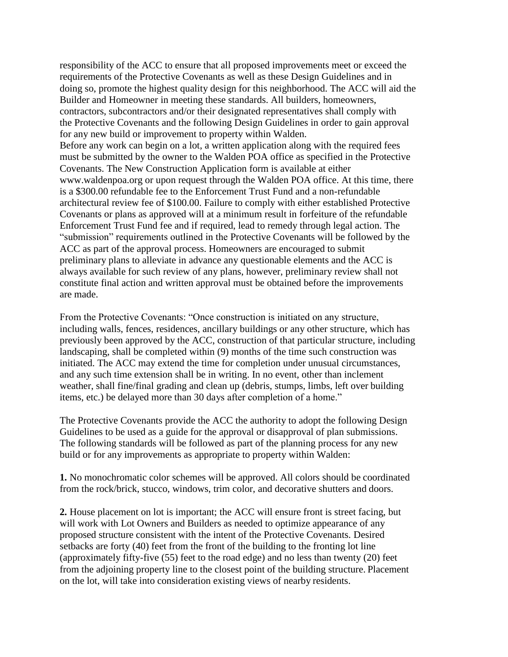responsibility of the ACC to ensure that all proposed improvements meet or exceed the requirements of the Protective Covenants as well as these Design Guidelines and in doing so, promote the highest quality design for this neighborhood. The ACC will aid the Builder and Homeowner in meeting these standards. All builders, homeowners, contractors, subcontractors and/or their designated representatives shall comply with the Protective Covenants and the following Design Guidelines in order to gain approval for any new build or improvement to property within Walden. Before any work can begin on a lot, a written application along with the required fees must be submitted by the owner to the Walden POA office as specified in the Protective Covenants. The New Construction Application form is available at either [www.waldenpoa.org o](http://www.waldenpoa.org/)r upon request through the Walden POA office. At this time, there is a \$300.00 refundable fee to the Enforcement Trust Fund and a non-refundable architectural review fee of \$100.00. Failure to comply with either established Protective Covenants or plans as approved will at a minimum result in forfeiture of the refundable Enforcement Trust Fund fee and if required, lead to remedy through legal action. The "submission" requirements outlined in the Protective Covenants will be followed by the ACC as part of the approval process. Homeowners are encouraged to submit preliminary plans to alleviate in advance any questionable elements and the ACC is always available for such review of any plans, however, preliminary review shall not constitute final action and written approval must be obtained before the improvements are made.

From the Protective Covenants: "Once construction is initiated on any structure, including walls, fences, residences, ancillary buildings or any other structure, which has previously been approved by the ACC, construction of that particular structure, including landscaping, shall be completed within (9) months of the time such construction was initiated. The ACC may extend the time for completion under unusual circumstances, and any such time extension shall be in writing. In no event, other than inclement weather, shall fine/final grading and clean up (debris, stumps, limbs, left over building items, etc.) be delayed more than 30 days after completion of a home."

The Protective Covenants provide the ACC the authority to adopt the following Design Guidelines to be used as a guide for the approval or disapproval of plan submissions. The following standards will be followed as part of the planning process for any new build or for any improvements as appropriate to property within Walden:

**1.** No monochromatic color schemes will be approved. All colors should be coordinated from the rock/brick, stucco, windows, trim color, and decorative shutters and doors.

**2.** House placement on lot is important; the ACC will ensure front is street facing, but will work with Lot Owners and Builders as needed to optimize appearance of any proposed structure consistent with the intent of the Protective Covenants. Desired setbacks are forty (40) feet from the front of the building to the fronting lot line (approximately fifty-five (55) feet to the road edge) and no less than twenty (20) feet from the adjoining property line to the closest point of the building structure. Placement on the lot, will take into consideration existing views of nearby residents.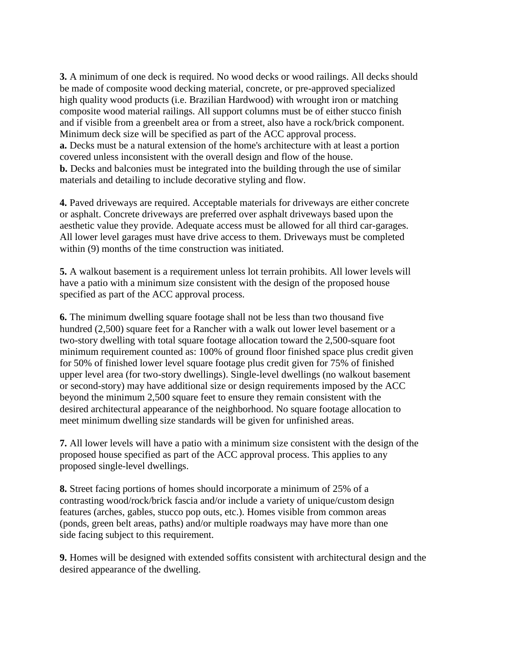**3.** A minimum of one deck is required. No wood decks or wood railings. All decks should be made of composite wood decking material, concrete, or pre-approved specialized high quality wood products (i.e. Brazilian Hardwood) with wrought iron or matching composite wood material railings. All support columns must be of either stucco finish and if visible from a greenbelt area or from a street, also have a rock/brick component. Minimum deck size will be specified as part of the ACC approval process. **a.** Decks must be a natural extension of the home's architecture with at least a portion covered unless inconsistent with the overall design and flow of the house. **b.** Decks and balconies must be integrated into the building through the use of similar materials and detailing to include decorative styling and flow.

**4.** Paved driveways are required. Acceptable materials for driveways are either concrete or asphalt. Concrete driveways are preferred over asphalt driveways based upon the aesthetic value they provide. Adequate access must be allowed for all third car-garages. All lower level garages must have drive access to them. Driveways must be completed within (9) months of the time construction was initiated.

**5.** A walkout basement is a requirement unless lot terrain prohibits. All lower levels will have a patio with a minimum size consistent with the design of the proposed house specified as part of the ACC approval process.

**6.** The minimum dwelling square footage shall not be less than two thousand five hundred (2,500) square feet for a Rancher with a walk out lower level basement or a two-story dwelling with total square footage allocation toward the 2,500-square foot minimum requirement counted as: 100% of ground floor finished space plus credit given for 50% of finished lower level square footage plus credit given for 75% of finished upper level area (for two-story dwellings). Single-level dwellings (no walkout basement or second-story) may have additional size or design requirements imposed by the ACC beyond the minimum 2,500 square feet to ensure they remain consistent with the desired architectural appearance of the neighborhood. No square footage allocation to meet minimum dwelling size standards will be given for unfinished areas.

**7.** All lower levels will have a patio with a minimum size consistent with the design of the proposed house specified as part of the ACC approval process. This applies to any proposed single-level dwellings.

**8.** Street facing portions of homes should incorporate a minimum of 25% of a contrasting wood/rock/brick fascia and/or include a variety of unique/custom design features (arches, gables, stucco pop outs, etc.). Homes visible from common areas (ponds, green belt areas, paths) and/or multiple roadways may have more than one side facing subject to this requirement.

**9.** Homes will be designed with extended soffits consistent with architectural design and the desired appearance of the dwelling.